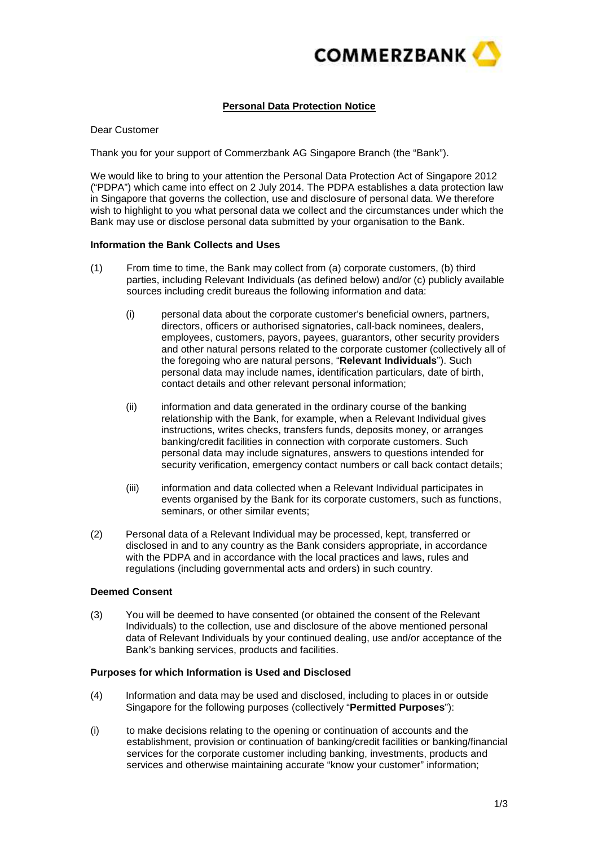

# **Personal Data Protection Notice**

Dear Customer

Thank you for your support of Commerzbank AG Singapore Branch (the "Bank").

We would like to bring to your attention the Personal Data Protection Act of Singapore 2012 ("PDPA") which came into effect on 2 July 2014. The PDPA establishes a data protection law in Singapore that governs the collection, use and disclosure of personal data. We therefore wish to highlight to you what personal data we collect and the circumstances under which the Bank may use or disclose personal data submitted by your organisation to the Bank.

### **Information the Bank Collects and Uses**

- (1) From time to time, the Bank may collect from (a) corporate customers, (b) third parties, including Relevant Individuals (as defined below) and/or (c) publicly available sources including credit bureaus the following information and data:
	- (i) personal data about the corporate customer's beneficial owners, partners, directors, officers or authorised signatories, call-back nominees, dealers, employees, customers, payors, payees, guarantors, other security providers and other natural persons related to the corporate customer (collectively all of the foregoing who are natural persons, "**Relevant Individuals**"). Such personal data may include names, identification particulars, date of birth, contact details and other relevant personal information;
	- (ii) information and data generated in the ordinary course of the banking relationship with the Bank, for example, when a Relevant Individual gives instructions, writes checks, transfers funds, deposits money, or arranges banking/credit facilities in connection with corporate customers. Such personal data may include signatures, answers to questions intended for security verification, emergency contact numbers or call back contact details;
	- (iii) information and data collected when a Relevant Individual participates in events organised by the Bank for its corporate customers, such as functions, seminars, or other similar events;
- (2) Personal data of a Relevant Individual may be processed, kept, transferred or disclosed in and to any country as the Bank considers appropriate, in accordance with the PDPA and in accordance with the local practices and laws, rules and regulations (including governmental acts and orders) in such country.

## **Deemed Consent**

(3) You will be deemed to have consented (or obtained the consent of the Relevant Individuals) to the collection, use and disclosure of the above mentioned personal data of Relevant Individuals by your continued dealing, use and/or acceptance of the Bank's banking services, products and facilities.

### **Purposes for which Information is Used and Disclosed**

- (4) Information and data may be used and disclosed, including to places in or outside Singapore for the following purposes (collectively "**Permitted Purposes**"):
- (i) to make decisions relating to the opening or continuation of accounts and the establishment, provision or continuation of banking/credit facilities or banking/financial services for the corporate customer including banking, investments, products and services and otherwise maintaining accurate "know your customer" information;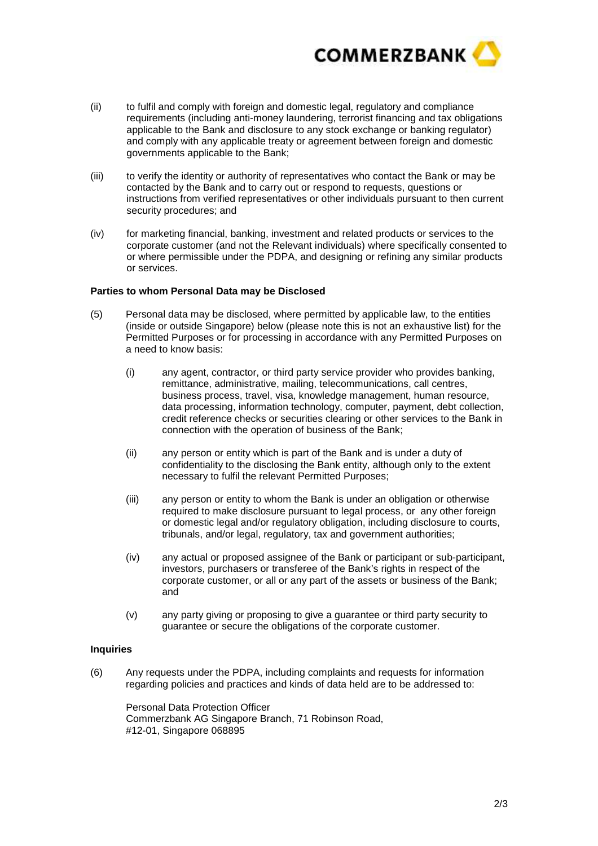

- (ii) to fulfil and comply with foreign and domestic legal, regulatory and compliance requirements (including anti-money laundering, terrorist financing and tax obligations applicable to the Bank and disclosure to any stock exchange or banking regulator) and comply with any applicable treaty or agreement between foreign and domestic governments applicable to the Bank;
- (iii) to verify the identity or authority of representatives who contact the Bank or may be contacted by the Bank and to carry out or respond to requests, questions or instructions from verified representatives or other individuals pursuant to then current security procedures; and
- (iv) for marketing financial, banking, investment and related products or services to the corporate customer (and not the Relevant individuals) where specifically consented to or where permissible under the PDPA, and designing or refining any similar products or services.

### **Parties to whom Personal Data may be Disclosed**

- (5) Personal data may be disclosed, where permitted by applicable law, to the entities (inside or outside Singapore) below (please note this is not an exhaustive list) for the Permitted Purposes or for processing in accordance with any Permitted Purposes on a need to know basis:
	- (i) any agent, contractor, or third party service provider who provides banking, remittance, administrative, mailing, telecommunications, call centres, business process, travel, visa, knowledge management, human resource, data processing, information technology, computer, payment, debt collection, credit reference checks or securities clearing or other services to the Bank in connection with the operation of business of the Bank;
	- (ii) any person or entity which is part of the Bank and is under a duty of confidentiality to the disclosing the Bank entity, although only to the extent necessary to fulfil the relevant Permitted Purposes;
	- (iii) any person or entity to whom the Bank is under an obligation or otherwise required to make disclosure pursuant to legal process, or any other foreign or domestic legal and/or regulatory obligation, including disclosure to courts, tribunals, and/or legal, regulatory, tax and government authorities;
	- $(iv)$  any actual or proposed assignee of the Bank or participant or sub-participant, investors, purchasers or transferee of the Bank's rights in respect of the corporate customer, or all or any part of the assets or business of the Bank; and
	- (v) any party giving or proposing to give a guarantee or third party security to guarantee or secure the obligations of the corporate customer.

### **Inquiries**

(6) Any requests under the PDPA, including complaints and requests for information regarding policies and practices and kinds of data held are to be addressed to:

 Personal Data Protection Officer Commerzbank AG Singapore Branch, 71 Robinson Road, #12-01, Singapore 068895